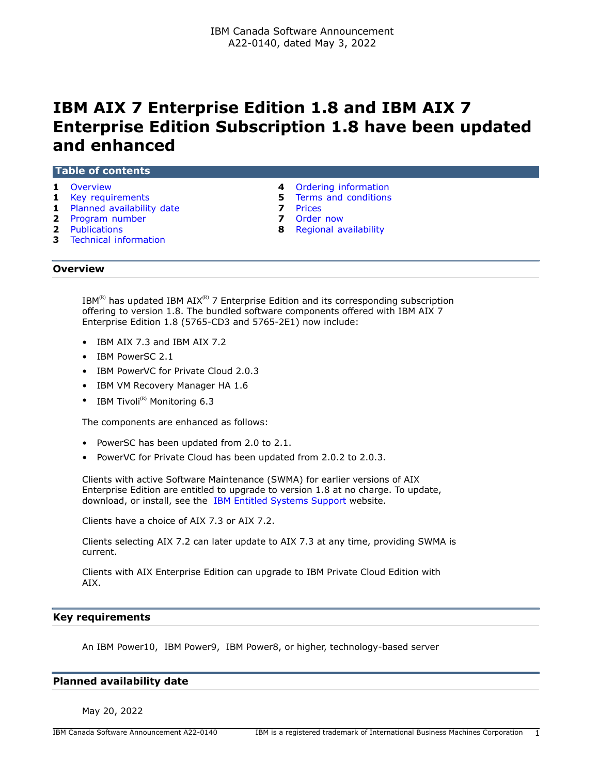# **IBM AIX 7 Enterprise Edition 1.8 and IBM AIX 7 Enterprise Edition Subscription 1.8 have been updated and enhanced**

| <b>Table of contents</b>  |                               |  |  |  |  |
|---------------------------|-------------------------------|--|--|--|--|
| <b>1</b> Overview         | 4 Ordering information        |  |  |  |  |
| <b>1</b> Key requirements | <b>5</b> Terms and conditions |  |  |  |  |
|                           |                               |  |  |  |  |

- **1** [Planned availability date](#page-0-2) **7** [Prices](#page-6-0)
- **2** [Program number](#page-1-0) **7** [Order now](#page-6-1)
- 
- **3** [Technical information](#page-2-0)
- 
- 
- **2** [Publications](#page-1-1) **8** [Regional availability](#page-7-0)

# <span id="page-0-0"></span>**Overview**

 $IBM^{(R)}$  has updated IBM AIX<sup>(R)</sup> 7 Enterprise Edition and its corresponding subscription offering to version 1.8. The bundled software components offered with IBM AIX 7 Enterprise Edition 1.8 (5765-CD3 and 5765-2E1) now include:

- IBM AIX 7.3 and IBM AIX 7.2
- IBM PowerSC 2.1
- IBM PowerVC for Private Cloud 2.0.3
- IBM VM Recovery Manager HA 1.6
- IBM Tivoli $^{(R)}$  Monitoring 6.3

The components are enhanced as follows:

- PowerSC has been updated from 2.0 to 2.1.
- PowerVC for Private Cloud has been updated from 2.0.2 to 2.0.3.

Clients with active Software Maintenance (SWMA) for earlier versions of AIX Enterprise Edition are entitled to upgrade to version 1.8 at no charge. To update, download, or install, see the [IBM Entitled Systems Support](https://www.ibm.com/servers/eserver/ess/index.wss) website.

Clients have a choice of AIX 7.3 or AIX 7.2.

Clients selecting AIX 7.2 can later update to AIX 7.3 at any time, providing SWMA is current.

Clients with AIX Enterprise Edition can upgrade to IBM Private Cloud Edition with AIX.

## <span id="page-0-1"></span>**Key requirements**

An IBM Power10, IBM Power9, IBM Power8, or higher, technology-based server

## <span id="page-0-2"></span>**Planned availability date**

May 20, 2022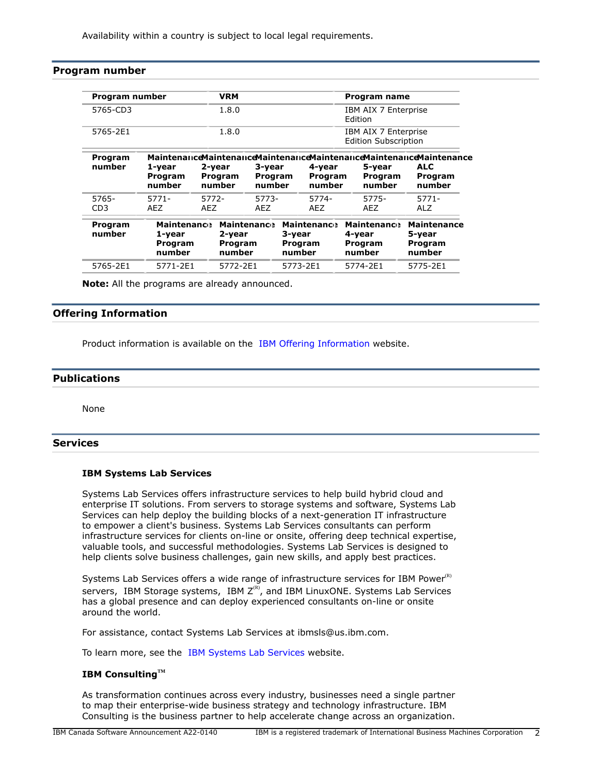Availability within a country is subject to local legal requirements.

# <span id="page-1-0"></span>**Program number**

| Program number           | <b>VRM</b>                                        |                             |                             | Program name                                      |                                                     |                                                                                                                   |
|--------------------------|---------------------------------------------------|-----------------------------|-----------------------------|---------------------------------------------------|-----------------------------------------------------|-------------------------------------------------------------------------------------------------------------------|
| 5765-CD3                 | 1.8.0                                             |                             |                             | IBM AIX 7 Enterprise<br><b>Fdition</b>            |                                                     |                                                                                                                   |
| 5765-2E1                 | 1.8.0                                             |                             |                             |                                                   | IBM AIX 7 Enterprise<br><b>Edition Subscription</b> |                                                                                                                   |
| Program<br>number        | 1-year<br>Program<br>number                       | 2-year<br>Program<br>number | 3-year<br>Program<br>number | 4-year<br>Program<br>number                       | 5-year<br>Program<br>number                         | <b>Maintenance Maintenance Maintenance Maintenance Maintenance Maintenance</b><br><b>ALC</b><br>Program<br>number |
| 5765-<br>CD <sub>3</sub> | $5771-$<br>AEZ                                    | 5772-<br><b>AEZ</b>         | 5773-<br>AEZ                | 5774-<br>AEZ                                      | 5775-<br><b>AEZ</b>                                 | 5771-<br><b>ALZ</b>                                                                                               |
| Program<br>number        | <b>Maintenance</b><br>1-year<br>Program<br>number | 2-year<br>Program<br>number | <b>Maintenance</b>          | <b>Maintenance</b><br>3-year<br>Program<br>number | <b>Maintenance</b><br>4-year<br>Program<br>number   | <b>Maintenance</b><br>5-year<br><b>Program</b><br>number                                                          |
| 5765-2E1                 | 5771-2E1                                          | 5772-2E1                    |                             | 5773-2E1                                          | 5774-2E1                                            | 5775-2E1                                                                                                          |

**Note:** All the programs are already announced.

# **Offering Information**

Product information is available on the [IBM Offering Information](http://www.ibm.com/common/ssi) website.

# <span id="page-1-1"></span>**Publications**

None

# **Services**

## **IBM Systems Lab Services**

Systems Lab Services offers infrastructure services to help build hybrid cloud and enterprise IT solutions. From servers to storage systems and software, Systems Lab Services can help deploy the building blocks of a next-generation IT infrastructure to empower a client's business. Systems Lab Services consultants can perform infrastructure services for clients on-line or onsite, offering deep technical expertise, valuable tools, and successful methodologies. Systems Lab Services is designed to help clients solve business challenges, gain new skills, and apply best practices.

Systems Lab Services offers a wide range of infrastructure services for IBM Power $R$ ) servers, IBM Storage systems, IBM  $Z^{(R)}$ , and IBM LinuxONE. Systems Lab Services has a global presence and can deploy experienced consultants on-line or onsite around the world.

For assistance, contact Systems Lab Services at ibmsls@us.ibm.com.

To learn more, see the [IBM Systems Lab Services](https://www.ibm.com/it-infrastructure/services/lab-services) website.

# **IBM ConsultingTM**

As transformation continues across every industry, businesses need a single partner to map their enterprise-wide business strategy and technology infrastructure. IBM Consulting is the business partner to help accelerate change across an organization.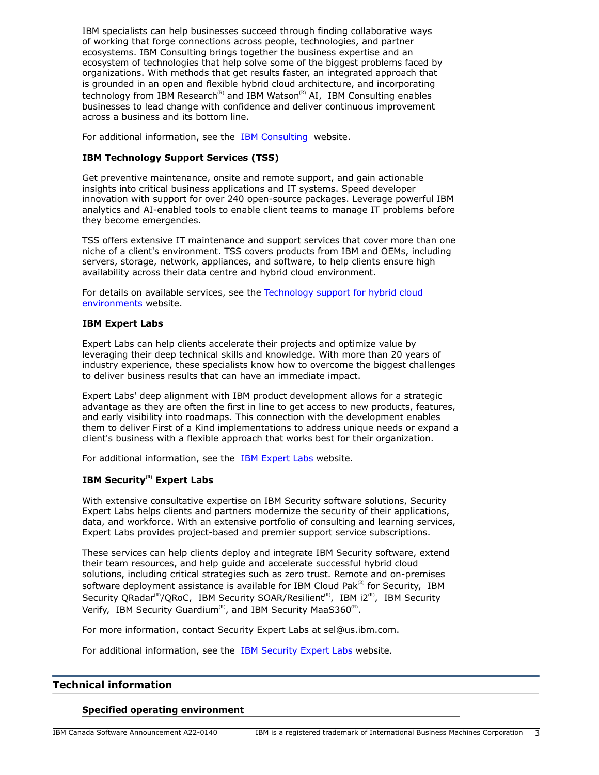IBM specialists can help businesses succeed through finding collaborative ways of working that forge connections across people, technologies, and partner ecosystems. IBM Consulting brings together the business expertise and an ecosystem of technologies that help solve some of the biggest problems faced by organizations. With methods that get results faster, an integrated approach that is grounded in an open and flexible hybrid cloud architecture, and incorporating technology from IBM Research<sup>(R)</sup> and IBM Watson<sup>(R)</sup> AI, IBM Consulting enables businesses to lead change with confidence and deliver continuous improvement across a business and its bottom line.

For additional information, see the [IBM Consulting](https://www.ibm.com/consulting) website.

## **IBM Technology Support Services (TSS)**

Get preventive maintenance, onsite and remote support, and gain actionable insights into critical business applications and IT systems. Speed developer innovation with support for over 240 open-source packages. Leverage powerful IBM analytics and AI-enabled tools to enable client teams to manage IT problems before they become emergencies.

TSS offers extensive IT maintenance and support services that cover more than one niche of a client's environment. TSS covers products from IBM and OEMs, including servers, storage, network, appliances, and software, to help clients ensure high availability across their data centre and hybrid cloud environment.

For details on available services, see the [Technology support for hybrid cloud](https://www.ibm.com/services/technology-support) [environments](https://www.ibm.com/services/technology-support) website.

## **IBM Expert Labs**

Expert Labs can help clients accelerate their projects and optimize value by leveraging their deep technical skills and knowledge. With more than 20 years of industry experience, these specialists know how to overcome the biggest challenges to deliver business results that can have an immediate impact.

Expert Labs' deep alignment with IBM product development allows for a strategic advantage as they are often the first in line to get access to new products, features, and early visibility into roadmaps. This connection with the development enables them to deliver First of a Kind implementations to address unique needs or expand a client's business with a flexible approach that works best for their organization.

For additional information, see the [IBM Expert Labs](https://www.ibm.com/products/expertlabs) website.

# **IBM Security(R) Expert Labs**

With extensive consultative expertise on IBM Security software solutions, Security Expert Labs helps clients and partners modernize the security of their applications, data, and workforce. With an extensive portfolio of consulting and learning services, Expert Labs provides project-based and premier support service subscriptions.

These services can help clients deploy and integrate IBM Security software, extend their team resources, and help guide and accelerate successful hybrid cloud solutions, including critical strategies such as zero trust. Remote and on-premises software deployment assistance is available for IBM Cloud Pak $R<sup>(R)</sup>$  for Security, IBM Security QRadar<sup>(R)</sup>/QRoC, IBM Security SOAR/Resilient<sup>(R)</sup>, IBM i2<sup>(R)</sup>, IBM Security Verify, IBM Security Guardium<sup>(R)</sup>, and IBM Security MaaS360<sup>(R)</sup>.

For more information, contact Security Expert Labs at sel@us.ibm.com.

For additional information, see the [IBM Security Expert Labs](https://www.ibm.com/security/security-expert-labs) website.

#### <span id="page-2-0"></span>**Technical information**

#### **Specified operating environment**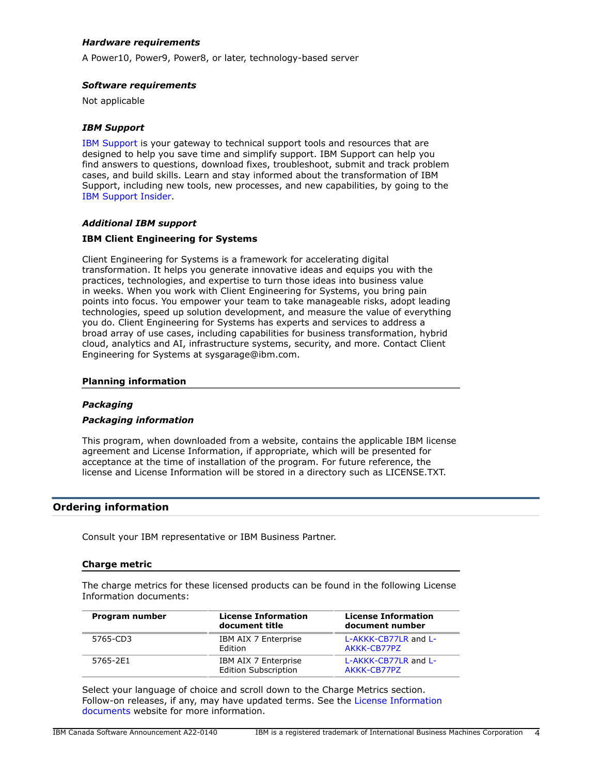# *Hardware requirements*

A Power10, Power9, Power8, or later, technology-based server

#### *Software requirements*

Not applicable

#### *IBM Support*

[IBM Support](https://www.ibm.com/support) is your gateway to technical support tools and resources that are designed to help you save time and simplify support. IBM Support can help you find answers to questions, download fixes, troubleshoot, submit and track problem cases, and build skills. Learn and stay informed about the transformation of IBM Support, including new tools, new processes, and new capabilities, by going to the [IBM Support Insider](https://www.ibm.com/support/insider).

#### *Additional IBM support*

#### **IBM Client Engineering for Systems**

Client Engineering for Systems is a framework for accelerating digital transformation. It helps you generate innovative ideas and equips you with the practices, technologies, and expertise to turn those ideas into business value in weeks. When you work with Client Engineering for Systems, you bring pain points into focus. You empower your team to take manageable risks, adopt leading technologies, speed up solution development, and measure the value of everything you do. Client Engineering for Systems has experts and services to address a broad array of use cases, including capabilities for business transformation, hybrid cloud, analytics and AI, infrastructure systems, security, and more. Contact Client Engineering for Systems at sysgarage@ibm.com.

#### **Planning information**

#### *Packaging*

#### *Packaging information*

This program, when downloaded from a website, contains the applicable IBM license agreement and License Information, if appropriate, which will be presented for acceptance at the time of installation of the program. For future reference, the license and License Information will be stored in a directory such as LICENSE.TXT.

## <span id="page-3-0"></span>**Ordering information**

Consult your IBM representative or IBM Business Partner.

#### **Charge metric**

The charge metrics for these licensed products can be found in the following License Information documents:

| Program number | <b>License Information</b><br>document title        | <b>License Information</b><br>document number<br>L-AKKK-CB77LR and L-<br>AKKK-CB77PZ<br>L-AKKK-CB77LR and L-<br>AKKK-CB77PZ |  |
|----------------|-----------------------------------------------------|-----------------------------------------------------------------------------------------------------------------------------|--|
| 5765-CD3       | IBM AIX 7 Enterprise<br>Edition                     |                                                                                                                             |  |
| 5765-2E1       | IBM AIX 7 Enterprise<br><b>Edition Subscription</b> |                                                                                                                             |  |

Select your language of choice and scroll down to the Charge Metrics section. Follow-on releases, if any, may have updated terms. See the [License Information](https://www.ibm.com/software/sla/sladb.nsf/search?OpenForm) [documents](https://www.ibm.com/software/sla/sladb.nsf/search?OpenForm) website for more information.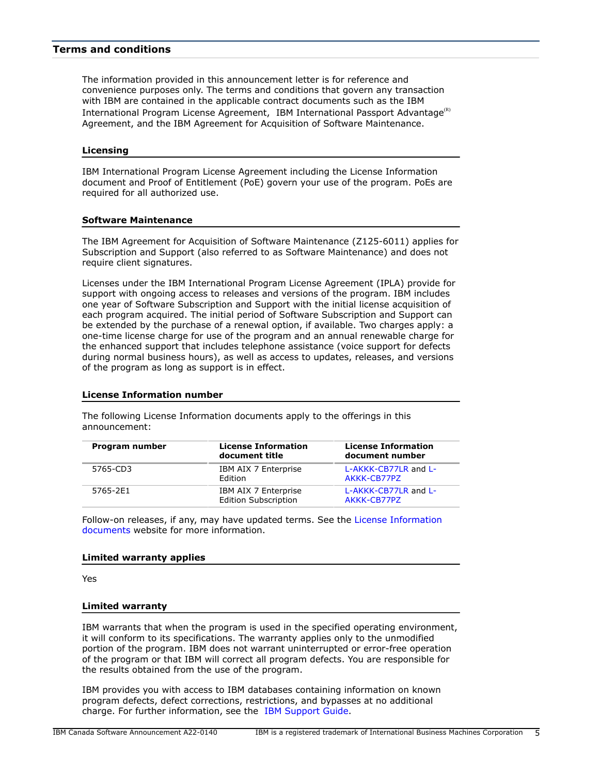# <span id="page-4-0"></span>**Terms and conditions**

The information provided in this announcement letter is for reference and convenience purposes only. The terms and conditions that govern any transaction with IBM are contained in the applicable contract documents such as the IBM International Program License Agreement, IBM International Passport Advantage<sup>(R)</sup> Agreement, and the IBM Agreement for Acquisition of Software Maintenance.

#### **Licensing**

IBM International Program License Agreement including the License Information document and Proof of Entitlement (PoE) govern your use of the program. PoEs are required for all authorized use.

### **Software Maintenance**

The IBM Agreement for Acquisition of Software Maintenance (Z125-6011) applies for Subscription and Support (also referred to as Software Maintenance) and does not require client signatures.

Licenses under the IBM International Program License Agreement (IPLA) provide for support with ongoing access to releases and versions of the program. IBM includes one year of Software Subscription and Support with the initial license acquisition of each program acquired. The initial period of Software Subscription and Support can be extended by the purchase of a renewal option, if available. Two charges apply: a one-time license charge for use of the program and an annual renewable charge for the enhanced support that includes telephone assistance (voice support for defects during normal business hours), as well as access to updates, releases, and versions of the program as long as support is in effect.

#### **License Information number**

The following License Information documents apply to the offerings in this announcement:

| Program number | <b>License Information</b><br>document title        | <b>License Information</b><br>document number |
|----------------|-----------------------------------------------------|-----------------------------------------------|
| 5765-CD3       | IBM AIX 7 Enterprise<br>Edition                     | L-AKKK-CB77LR and L-<br>AKKK-CB77PZ           |
| 5765-2E1       | IBM AIX 7 Enterprise<br><b>Edition Subscription</b> | L-AKKK-CB77LR and L-<br>AKKK-CB77PZ           |

Follow-on releases, if any, may have updated terms. See the [License Information](https://www.ibm.com/software/sla/sladb.nsf/search?OpenForm) [documents](https://www.ibm.com/software/sla/sladb.nsf/search?OpenForm) website for more information.

#### **Limited warranty applies**

Yes

#### **Limited warranty**

IBM warrants that when the program is used in the specified operating environment, it will conform to its specifications. The warranty applies only to the unmodified portion of the program. IBM does not warrant uninterrupted or error-free operation of the program or that IBM will correct all program defects. You are responsible for the results obtained from the use of the program.

IBM provides you with access to IBM databases containing information on known program defects, defect corrections, restrictions, and bypasses at no additional charge. For further information, see the [IBM Support Guide](http://www.ibm.com/support/customercare/sas/f/handbook/home.html).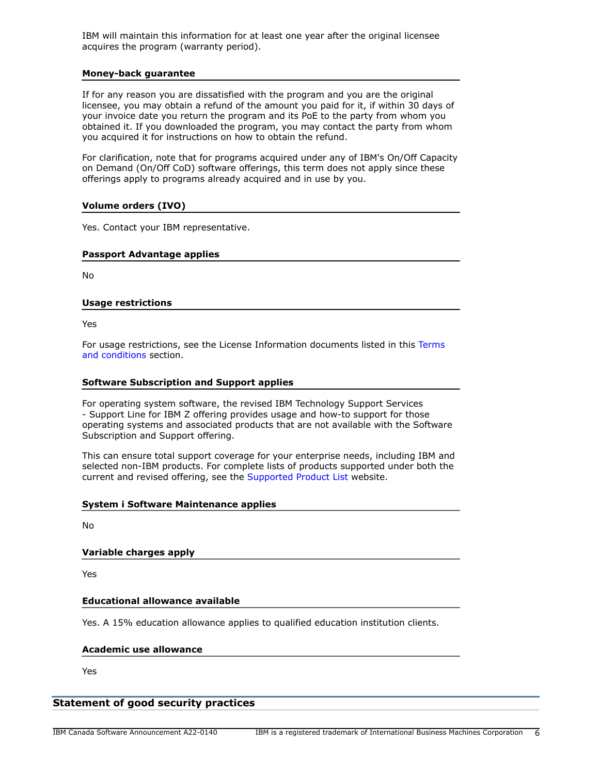IBM will maintain this information for at least one year after the original licensee acquires the program (warranty period).

#### **Money-back guarantee**

If for any reason you are dissatisfied with the program and you are the original licensee, you may obtain a refund of the amount you paid for it, if within 30 days of your invoice date you return the program and its PoE to the party from whom you obtained it. If you downloaded the program, you may contact the party from whom you acquired it for instructions on how to obtain the refund.

For clarification, note that for programs acquired under any of IBM's On/Off Capacity on Demand (On/Off CoD) software offerings, this term does not apply since these offerings apply to programs already acquired and in use by you.

## **Volume orders (IVO)**

Yes. Contact your IBM representative.

#### **Passport Advantage applies**

No

#### **Usage restrictions**

Yes

For usage restrictions, see the License Information documents listed in this [Terms](#page-4-0) [and conditions](#page-4-0) section.

## **Software Subscription and Support applies**

For operating system software, the revised IBM Technology Support Services - Support Line for IBM Z offering provides usage and how-to support for those operating systems and associated products that are not available with the Software Subscription and Support offering.

This can ensure total support coverage for your enterprise needs, including IBM and selected non-IBM products. For complete lists of products supported under both the current and revised offering, see the [Supported Product List](http://www-03.ibm.com/services/supline/products/index.html) website.

#### **System i Software Maintenance applies**

No

# **Variable charges apply**

Yes

#### **Educational allowance available**

Yes. A 15% education allowance applies to qualified education institution clients.

#### **Academic use allowance**

Yes

# **Statement of good security practices**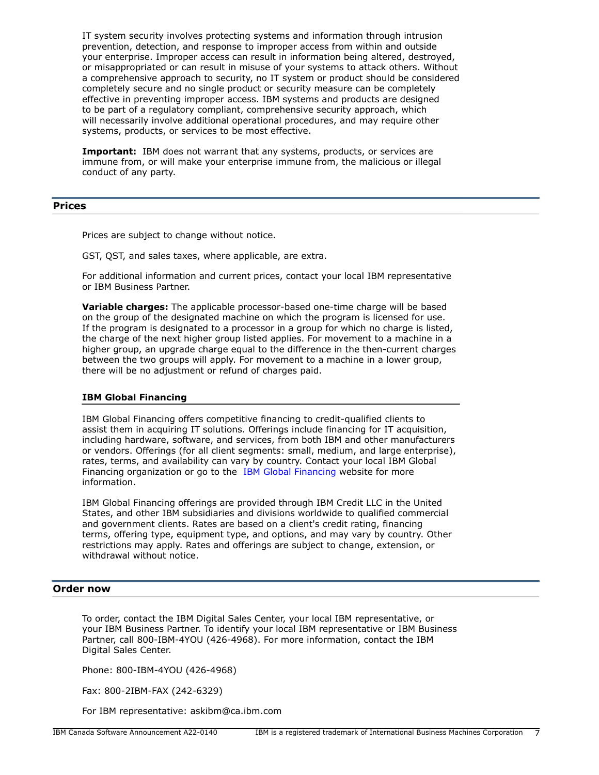IT system security involves protecting systems and information through intrusion prevention, detection, and response to improper access from within and outside your enterprise. Improper access can result in information being altered, destroyed, or misappropriated or can result in misuse of your systems to attack others. Without a comprehensive approach to security, no IT system or product should be considered completely secure and no single product or security measure can be completely effective in preventing improper access. IBM systems and products are designed to be part of a regulatory compliant, comprehensive security approach, which will necessarily involve additional operational procedures, and may require other systems, products, or services to be most effective.

**Important:** IBM does not warrant that any systems, products, or services are immune from, or will make your enterprise immune from, the malicious or illegal conduct of any party.

# <span id="page-6-0"></span>**Prices**

Prices are subject to change without notice.

GST, QST, and sales taxes, where applicable, are extra.

For additional information and current prices, contact your local IBM representative or IBM Business Partner.

**Variable charges:** The applicable processor-based one-time charge will be based on the group of the designated machine on which the program is licensed for use. If the program is designated to a processor in a group for which no charge is listed, the charge of the next higher group listed applies. For movement to a machine in a higher group, an upgrade charge equal to the difference in the then-current charges between the two groups will apply. For movement to a machine in a lower group, there will be no adjustment or refund of charges paid.

#### **IBM Global Financing**

IBM Global Financing offers competitive financing to credit-qualified clients to assist them in acquiring IT solutions. Offerings include financing for IT acquisition, including hardware, software, and services, from both IBM and other manufacturers or vendors. Offerings (for all client segments: small, medium, and large enterprise), rates, terms, and availability can vary by country. Contact your local IBM Global Financing organization or go to the [IBM Global Financing](http://www.ibm.com/financing) website for more information.

IBM Global Financing offerings are provided through IBM Credit LLC in the United States, and other IBM subsidiaries and divisions worldwide to qualified commercial and government clients. Rates are based on a client's credit rating, financing terms, offering type, equipment type, and options, and may vary by country. Other restrictions may apply. Rates and offerings are subject to change, extension, or withdrawal without notice.

## <span id="page-6-1"></span>**Order now**

To order, contact the IBM Digital Sales Center, your local IBM representative, or your IBM Business Partner. To identify your local IBM representative or IBM Business Partner, call 800-IBM-4YOU (426-4968). For more information, contact the IBM Digital Sales Center.

Phone: 800-IBM-4YOU (426-4968)

Fax: 800-2IBM-FAX (242-6329)

For IBM representative: askibm@ca.ibm.com